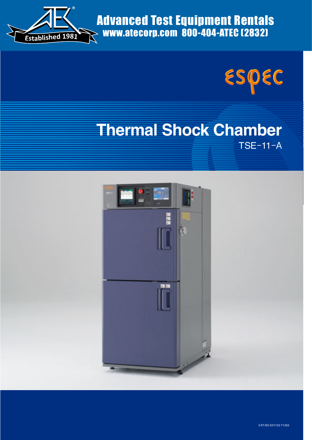

Advanced Test Equipment Rentals www.atecorp.com 800-404-ATEC (2832)



# **Thermal Shock Chamber** TSE-11-A

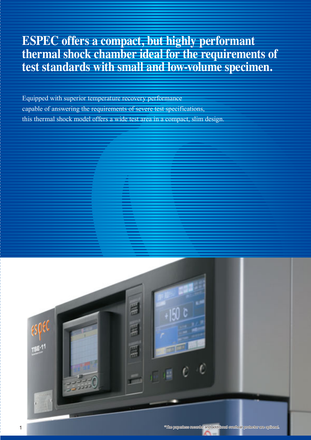# **ESPEC offers a compact, but highly performant thermal shock chamber ideal for the requirements of test standards with small and low-volume specimen.**

Equipped with superior temperature recovery performance capable of answering the requirements of severe test specifications, this thermal shock model offers a wide test area in a compact, slim design.

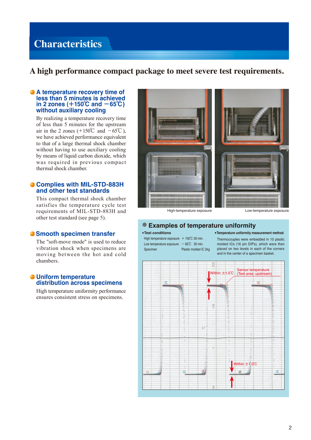## **Characteristics**

## **A high performance compact package to meet severe test requirements.**

## **A temperature recovery time of less than 5 minutes is achieved in 2 zones (**+**150**℃ **and** -**65**℃**) without auxiliary cooling**

By realizing a temperature recovery time of less than 5 minutes for the upstream air in the 2 zones (+150°C and  $-65^{\circ}$ C), we have achieved performance equivalent to that of a large thermal shock chamber without having to use auxiliary cooling by means of liquid carbon dioxide, which was required in previous compact thermal shock chamber.

## **Complies with MIL-STD-883H and other test standards**

This compact thermal shock chamber satisfies the temperature cycle test requirements of MIL-STD-883H and other test standard (see page 5).

## **Smooth specimen transfer**

The "soft-move mode" is used to reduce vibration shock when specimens are moving between the hot and cold chambers.

## **Uniform temperature distribution across specimens**

High temperature uniformity performance ensures consistent stress on specimens.



High-temperature exposure Low-temperature exposure

## ● **Examples of temperature uniformity**

#### ● **Test conditions**

High temperature exposure  $+ 150^{\circ}$ C 30 min. Low temperature exposure  $-65^{\circ}$ C 30 min. Specimen Plastic molded IC 2kg ●**Temperature uniformity measurement method**

Thermocouples were embedded in 10 plastic molded ICs (16 pin DIPs), which were then placed on two levels in each of the corners and in the center of a specimen basket.

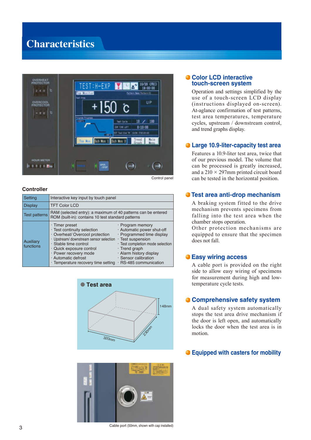## **Characteristics**



Control panel

## **Controller**

| Setting                       | Interactive key input by touch panel                                                                                                                                                                                                                                          |                                                                                                                                                                                                                                                      |  |  |
|-------------------------------|-------------------------------------------------------------------------------------------------------------------------------------------------------------------------------------------------------------------------------------------------------------------------------|------------------------------------------------------------------------------------------------------------------------------------------------------------------------------------------------------------------------------------------------------|--|--|
| Display                       | <b>TFT Color LCD</b>                                                                                                                                                                                                                                                          |                                                                                                                                                                                                                                                      |  |  |
| <b>Test patterns</b>          | RAM (selected entry): a maximum of 40 patterns can be entered<br>ROM (built-in): contains 10 test standard patterns                                                                                                                                                           |                                                                                                                                                                                                                                                      |  |  |
| <b>Auxiliary</b><br>functions | $\cdot$ Timer preset<br>· Test continuity selection<br>· Overheat/ Overcool protection<br>· Upstream/ downstream sensor selection<br>· Stable time control<br>· Quick exposure control<br>· Power recovery mode<br>· Automatic defrost<br>· Temperature recovery time setting | · Program memory<br>· Automatic power shut-off<br>· Programmed time display<br>$\cdot$ Test suspension<br>· Test completion mode selection<br>$\cdot$ Trend graph<br>· Alarm history display<br>· Sensor calibration<br>$\cdot$ RS-485 communication |  |  |





#### Cable port (50mm, shown with cap installed)

## **Color LCD interactive touch-screen system**

Operation and settings simplified by the use of a touch-screen LCD display (instructions displayed on-screen). At-aglance confirmation of test patterns, test area temperatures, temperature cycles, upstream / downstream control, and trend graphs display.

## **Large 10.9-liter-capacity test area**

Features a 10.9-liter test area, twice that of our previous model. The volume that can be processed is greatly increased, and a  $210 \times 297$ mm printed circuit board can be tested in the horizontal position.

## **Test area anti-drop mechanism**

A braking system fitted to the drive mechanism prevents specimens from falling into the test area when the chamber stops operation.

Other protection mechanisms are equipped to ensure that the specimen does not fall.

## **Easy wiring access**

A cable port is provided on the right side to allow easy wiring of specimens for measurement during high and lowtemperature cycle tests.

## **Comprehensive safety system**

A dual safety system automatically stops the test area drive mechanism if the door is left open, and automatically locks the door when the test area is in motion.

## **Equipped with casters for mobility**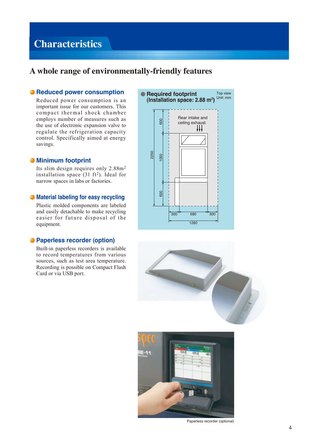## **Characteristics**

## **A whole range of environmentally-friendly features**

## **• Reduced power consumption**

Reduced power consumption is an important issue for our customers. This compact thermal shock chamber employs number of measures such as the use of electronic expansion valve to regulate the refrigeration capacity control. Specifically aimed at energy savings.

## **Minimum footprint**

Its slim design requires only 2.88m2 installation space  $(31 \text{ ft}^2)$ . Ideal for narrow spaces in labs or factories.

## **Material labeling for easy recycling**

Plastic molded components are labeled and easily detachable to make recycling easier for future disposal of the equipment.

## **Paperless recorder (option)**

Built-in paperless recorders is available to record temperatures from various sources, such as test area temperature. Recording is possible on Compact Flash Card or via USB port.







Paperless recorder (optional)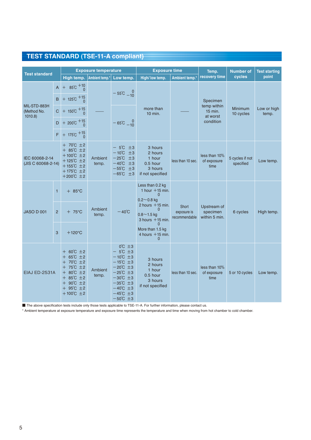## **TEST STANDARD (TSE-11-A compliant)**

| <b>Test standard</b>                  |                | <b>Exposure temperature</b>                                                                                                                                                                                                        |                  |                                                                                                                                                                                                                                                                                | <b>Exposure time</b>                                                                                                     |                                          | Temp.                                                         | <b>Number of</b>             | <b>Test starting</b> |
|---------------------------------------|----------------|------------------------------------------------------------------------------------------------------------------------------------------------------------------------------------------------------------------------------------|------------------|--------------------------------------------------------------------------------------------------------------------------------------------------------------------------------------------------------------------------------------------------------------------------------|--------------------------------------------------------------------------------------------------------------------------|------------------------------------------|---------------------------------------------------------------|------------------------------|----------------------|
|                                       |                | High temp.                                                                                                                                                                                                                         | Ambient temp.*   | Low temp.                                                                                                                                                                                                                                                                      | High/ low temp.                                                                                                          | Ambient temp.*                           | recovery time                                                 | cycles                       | point                |
|                                       | $\mathsf{A}$   | $+ 85^{\circ}C + 10^{\circ}C$                                                                                                                                                                                                      |                  | $-55^{\circ}$ C $-10^{\circ}$                                                                                                                                                                                                                                                  | more than<br>10 min.                                                                                                     |                                          | Specimen<br>temp within<br>$15$ min.<br>at worst<br>condition | <b>Minimum</b><br>10 cycles  | Low or high<br>temp. |
|                                       |                | $B$ + 125°C + 15                                                                                                                                                                                                                   |                  |                                                                                                                                                                                                                                                                                |                                                                                                                          |                                          |                                                               |                              |                      |
| MIL-STD-883H<br>(Method No.<br>1010.8 |                | $C + 150^{\circ}C + 15$                                                                                                                                                                                                            |                  | $-65^{\circ}C_{-10}^{0}$                                                                                                                                                                                                                                                       |                                                                                                                          |                                          |                                                               |                              |                      |
|                                       | D.             | + 200°C $+15$                                                                                                                                                                                                                      |                  |                                                                                                                                                                                                                                                                                |                                                                                                                          |                                          |                                                               |                              |                      |
|                                       |                | $F$ + 175°C + 15                                                                                                                                                                                                                   |                  |                                                                                                                                                                                                                                                                                |                                                                                                                          |                                          |                                                               |                              |                      |
| IEC 60068-2-14<br>(JIS C 60068-2-14)  |                | $+ 70^{\circ}$ C $\pm 2$<br>$+ 85^{\circ}C \pm 2$<br>$+100^{\circ}C \pm 2$<br>$+125^{\circ}$ C $\pm 2$<br>$+155^{\circ}C \pm 2$<br>$+175^{\circ}C \pm 2$<br>$+200^{\circ}C \pm 2$                                                  | Ambient<br>temp. | $-5^{\circ}C$<br>±3<br>$-10^{\circ}$ C<br>±3<br>$-25^{\circ}$ C<br>±3<br>$-40^{\circ}$ C<br>±3<br>$-55^{\circ}$ C<br>±3<br>$-65^{\circ}$ C $\pm 3$                                                                                                                             | 3 hours<br>2 hours<br>1 hour<br>$0.5$ hour<br>3 hours<br>if not specified                                                | less than 10 sec.                        | less than 10%<br>of exposure<br>time                          | 5 cycles if not<br>specified | Low temp.            |
| <b>JASO D 001</b>                     | $\mathbf{1}$   | $+ 85^{\circ}$ C                                                                                                                                                                                                                   | Ambient<br>temp. | $-40^{\circ}$ C                                                                                                                                                                                                                                                                | Less than 0.2 kg<br>1 hour $+15$ min.<br>$\Omega$<br>$0.2 - 0.8$ kg                                                      |                                          |                                                               |                              |                      |
|                                       | $\overline{2}$ | $+ 75^{\circ}$ C                                                                                                                                                                                                                   |                  |                                                                                                                                                                                                                                                                                | 2 hours $+15$ min.<br><b>Short</b><br>$\Omega$<br>exposure is<br>$0.8 - 1.5$ kg<br>recommendable<br>$3$ hours $+15$ min. | Upstream of<br>specimen<br>within 5 min. | 6 cycles                                                      | High temp.                   |                      |
|                                       | 3              | $+120^{\circ}$ C                                                                                                                                                                                                                   |                  |                                                                                                                                                                                                                                                                                | $\Omega$<br>More than 1.5 kg<br>4 hours $+15$ min.<br>$\Omega$                                                           |                                          |                                                               |                              |                      |
| <b>EIAJ ED-2531A</b>                  |                | $+ 60^{\circ}C \pm 2$<br>$+ 65^{\circ}C \pm 2$<br>$+ 70^{\circ}C \pm 2$<br>$+ 75^{\circ}C \pm 2$<br>$+80^{\circ}$ C $\pm 2$<br>$+ 85^{\circ}C \pm 2$<br>$+ 90^{\circ}C \pm 2$<br>$+ 95^{\circ}$ C $\pm 2$<br>$+100^{\circ}C \pm 2$ | Ambient<br>temp. | $0^{\circ}C \pm 3$<br>$-5^{\circ}C \pm 3$<br>$-10^{\circ}$ C $\pm 3$<br>$-15^{\circ}C \pm 3$<br>$-20^{\circ}C \pm 3$<br>$-25^{\circ}C \pm 3$<br>$-30^{\circ}$ C $\pm 3$<br>$-35^{\circ}$ C $\pm 3$<br>$-40^{\circ}$ C $\pm 3$<br>$-45^{\circ}$ C $\pm 3$<br>$-50^{\circ}$ C ±3 | 3 hours<br>2 hours<br>1 hour<br>$0.5$ hour<br>3 hours<br>if not specified                                                | less than 10 sec.                        | less than 10%<br>of exposure<br>time                          | 5 or 10 cycles               | Low temp.            |

■ The above specification tests include only those tests applicable to TSE-11-A. For further information, please contact us.

\* Ambient temperature at exposure temperature and exposure time represents the temperature and time when moving from hot chamber to cold chamber.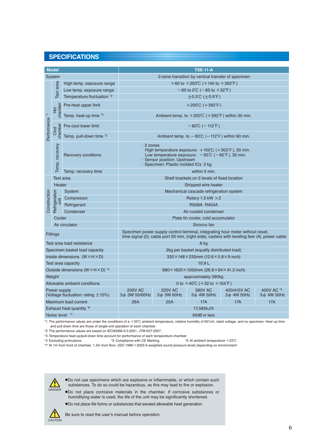## **SPECIFICATIONS**

| <b>Model</b>                                              |                       |                                   | <b>TSE-11-A</b>                                                                                                                                                                                                                          |                                                      |                                   |                                |                                |  |
|-----------------------------------------------------------|-----------------------|-----------------------------------|------------------------------------------------------------------------------------------------------------------------------------------------------------------------------------------------------------------------------------------|------------------------------------------------------|-----------------------------------|--------------------------------|--------------------------------|--|
| <b>System</b>                                             |                       |                                   |                                                                                                                                                                                                                                          |                                                      |                                   |                                |                                |  |
|                                                           |                       | High temp. exposure range         | 2-zone transition by vertical transfer of specimen                                                                                                                                                                                       |                                                      |                                   |                                |                                |  |
|                                                           | Test area             | Low temp. exposure range          |                                                                                                                                                                                                                                          | $+60$ to $+200^{\circ}$ C (+140 to $+392^{\circ}$ F) |                                   |                                |                                |  |
|                                                           |                       | Temperature fluctuation *2        | $-65$ to 0°C ( $-85$ to $+32$ °F)                                                                                                                                                                                                        |                                                      |                                   |                                |                                |  |
|                                                           |                       |                                   | $\pm 0.5^{\circ}$ C ( $\pm 0.9^{\circ}$ F)                                                                                                                                                                                               |                                                      |                                   |                                |                                |  |
| $\overline{\cdot}$<br>Performance                         | chamber<br>Ей         | Pre-heat upper limit              | $+200^{\circ}C$ (+392 $^{\circ}F$ )                                                                                                                                                                                                      |                                                      |                                   |                                |                                |  |
|                                                           |                       | Temp. heat-up time <sup>*3</sup>  | Ambient temp. to +200°C (+392°F) within 30 min.                                                                                                                                                                                          |                                                      |                                   |                                |                                |  |
|                                                           | chamber<br>Clod       | Pre-cool lower limit              | $-80^{\circ}$ C ( $-112^{\circ}$ F)                                                                                                                                                                                                      |                                                      |                                   |                                |                                |  |
|                                                           |                       | Temp. pull-down time <sup>3</sup> | Ambient temp. to $-80^{\circ}$ C ( $-112^{\circ}$ F) within 90 min.                                                                                                                                                                      |                                                      |                                   |                                |                                |  |
|                                                           | Temp. recovery        | Recovery conditions               | $\cdot$ 2 zones<br>High temperature exposure: $+150^{\circ}$ C ( $+302^{\circ}$ F), 30 min.<br>Low temperature exposure: $-65^{\circ}$ C ( $-85^{\circ}$ F), 30 min.<br>· Sensor position: Upstream<br>Specimen: Plastic molded ICs 2 kg |                                                      |                                   |                                |                                |  |
|                                                           |                       | Temp. recovery time               | within 5 min.                                                                                                                                                                                                                            |                                                      |                                   |                                |                                |  |
|                                                           | <b>Test</b> area      |                                   | Shelf brackets on 2 levels of fixed location                                                                                                                                                                                             |                                                      |                                   |                                |                                |  |
|                                                           | Heater                |                                   | Stripped wire heater                                                                                                                                                                                                                     |                                                      |                                   |                                |                                |  |
|                                                           |                       | System                            | Mechanical cascade refrigeration system                                                                                                                                                                                                  |                                                      |                                   |                                |                                |  |
|                                                           |                       | Compressor                        | Rotary 1.5 kW $\times$ 2                                                                                                                                                                                                                 |                                                      |                                   |                                |                                |  |
| Construction                                              | Refrigeration<br>init | Refrigerant                       | R508A R404A                                                                                                                                                                                                                              |                                                      |                                   |                                |                                |  |
|                                                           |                       | Condenser                         | Air-cooled condenser                                                                                                                                                                                                                     |                                                      |                                   |                                |                                |  |
|                                                           | Cooler                |                                   | Plate fin cooler, cold accumulator                                                                                                                                                                                                       |                                                      |                                   |                                |                                |  |
| Air circulator                                            |                       |                                   | Sirocco fan                                                                                                                                                                                                                              |                                                      |                                   |                                |                                |  |
| Fittings                                                  |                       |                                   | Specimen power supply control terminal, integrating hour meter without reset,<br>time signal (2), cable port 50 mm, (right side), casters with leveling feer (4), power cable                                                            |                                                      |                                   |                                |                                |  |
| Test area load resistance                                 |                       |                                   | 8 kg                                                                                                                                                                                                                                     |                                                      |                                   |                                |                                |  |
| Specimen basket load capacity                             |                       |                                   | 2kg per basket (equally distributed load)                                                                                                                                                                                                |                                                      |                                   |                                |                                |  |
| Inside dimensions $(W \times H \times D)$                 |                       |                                   | $320\times148\times230$ mm (12.6 $\times$ 5.8 $\times$ 9 inch)                                                                                                                                                                           |                                                      |                                   |                                |                                |  |
| Test area capacity                                        |                       |                                   | 10.9L                                                                                                                                                                                                                                    |                                                      |                                   |                                |                                |  |
| Outside dimensions (W × H × D) *4                         |                       |                                   | 680×1625×1050mm (26.8×64×41.3 inch)                                                                                                                                                                                                      |                                                      |                                   |                                |                                |  |
| Weight                                                    |                       |                                   | approximately 390kg                                                                                                                                                                                                                      |                                                      |                                   |                                |                                |  |
| Allowable ambient conditions                              |                       |                                   | 0 to $+40^{\circ}$ C ( $+32$ to $+104^{\circ}$ F)                                                                                                                                                                                        |                                                      |                                   |                                |                                |  |
| Power supply<br>(Voltage fluctuation: rating $\pm 10\%$ ) |                       |                                   | <b>200V AC</b><br>3¢ 3W 50/60Hz                                                                                                                                                                                                          | <b>220V AC</b><br>$3\phi$ 3W 60Hz                    | <b>380V AC</b><br>$3\phi$ 4W 50Hz | 400/415V AC<br>$3\phi$ 4W 50Hz | 400V AC *5<br>3 $\phi$ 4W 50Hz |  |
| Maximum load current                                      |                       |                                   | 26A                                                                                                                                                                                                                                      | 25A                                                  | <b>17A</b>                        | 17A                            | <b>17A</b>                     |  |
| Exhaust heat quantity *6                                  |                       |                                   | 17,585kJ/h                                                                                                                                                                                                                               |                                                      |                                   |                                |                                |  |
| Noise level *7                                            |                       |                                   | 60dB or less                                                                                                                                                                                                                             |                                                      |                                   |                                |                                |  |

\*1 The performance values are under the conditions of a +23℃ ambient temperature, relative humidity of 65%rh, rated voltage, and no specimen. Heat up time and pull down time are those of single-unit operation of each chamber.

\*2 The performance values are based on IEC60068-3-5:2001, JTM K07:2007.

\*3 Temperature heat-up/pull-down time account for performance of each temperature chamber.<br>\*4 Excluding protrusions. \*5 Compliance with CE Marking. \*\*

 $*6$  At ambient temperature  $+23^{\circ}$ C.

\*7 At 1m from front of chamber, 1.2m from floor. (ISO 1996-1:2003 A-weighted sound pressure level) depending on environment



●Do not use specimens which are explosive or inflammable, or which contain such substances. To do so could be hazardous, as this may lead to fire or explosion.

●Do not place corrosive materials in the chamber. If corrosive substances or humidifying water is used, the life of the unit may be significantly shortened.

●Do not place life forms or substances that exceed allowable heat generation.



Be sure to read the user's manual before operation.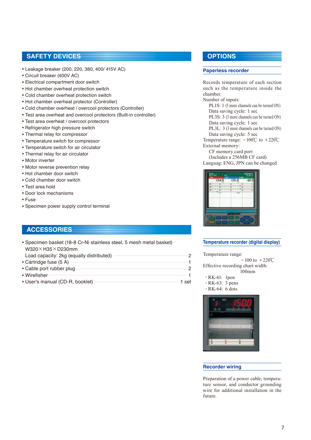## **SAFETY DEVICES**

- Leakage breaker (200, 220, 380, 400/ 415V AC)
- Circuit breaker (400V AC)
- Electrical compartment door switch
- Hot chamber overheat protection switch
- Cold chamber overheat protection switch
- Hot chamber overheat protector (Controller)
- Cold chamber overheat / overcool protectors (Controller)
- Test area overheat and overcool protectors (Built-in controller)
- Test area overheat / overcool protectors
- Refrigerator high pressure switch
- Thermal relay for compressor
- Temperature switch for compressor
- Temperature switch for air circulator
- Thermal relay for air circulator
- Motor inverter
- Motor reverse prevention relay
- Hot chamber door switch
- Cold chamber door switch
- Test area hold
- Door lock mechanisms
- Fuse
- Specimen power supply control terminal

## **ACCESSORIES**

• Specimen basket (18-8 Cr-Ni stainless steel, 5 mesh metal basket) W320×H35×D230mm Load capacity: 2kg (equally distributed) 2 • Cartridge fuse (5 A)  $\frac{1}{1}$ ● Cable port rubber plug 2  $\bullet$  Wirefisher  $\overline{1}$ • User's manual (CD-R, booklet) **1** set

## **OPTIONS**

## **Paperless recorder**

Records temperature of each section such as the temperature inside the chamber.

## Number of inputs:

PL1S: 1 (5 more channels can be turned ON) Data saving cycle: 1 sec

 PL3S: 3 (3 more channels can be turned ON) Data saving cycle: 1 sec

- PL3L: 3 (3 more channels can be turned ON)
- Data saving cycle: 5 sec

Temperature range:  $-100^{\circ}$ C to  $+220^{\circ}$ C External memory:

CF memory card port

 (Includes a 256MB CF card) Languag: ENG, JPN can be changed



#### **Temperature recorder (digital display)**

Temperature range:

 $-100$  to  $+220^{\circ}$ C Effective recording chart width:

- 100mm
- $\cdot$  RK-61: 1pen
- $\cdot$  RK-63: 3 pens
- $\cdot$  RK-64: 6 dots



#### **Recorder wiring**

Preparation of a power cable, temperature sensor, and conductor grounding wire for additional installation in the future.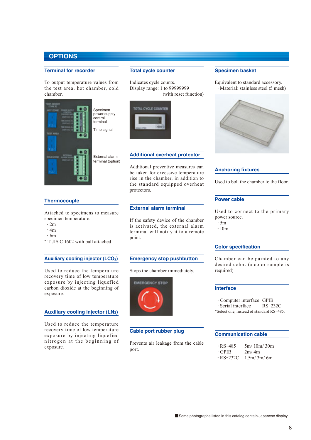## **OPTIONS**

#### **Terminal for recorder**

To output temperature values from the test area, hot chamber, cold chamber.



## **Total cycle counter**

Indicates cycle counts. Display range: 1 to 99999999 (with reset function)



#### **Additional overheat protector**

Additional preventive measures can be taken for excessive temperature rise in the chamber, in addition to the standard equipped overheat protectors.

#### **External alarm terminal**

If the safety device of the chamber is activated, the external alarm terminal will notify it to a remote point.

#### **Emergency stop pushbutton**

Stops the chamber immediately.



#### **Cable port rubber plug**

Prevents air leakage from the cable port.

#### **Specimen basket**

Equivalent to standard accessory. ・Material: stainless steel (5 mesh)



## **Anchoring fixtures**

Used to bolt the chamber to the floor.

#### **Power cable**

Used to connect to the primary power source.

- ・5m
- ・10m

### **Color specification**

Chamber can be painted to any desired color. (a color sample is required)

#### **Interface**

• Computer interface GPIB<br>• Serial interface RS-232C

- $\cdot$  Serial interface
- \*Select one, instead of standard RS-485.

## **Communication cable**

- $\cdot$  RS-485 5m/ 10m/ 30m<br> $\cdot$  GPIB 2m/ 4m
- $\cdot$  GPIB<br> $\cdot$  RS-232C
	- $1.5m/3m/6m$

## **Thermocouple**

Attached to specimens to measure specimen temperature.

- ・2m
- $\cdot$  4m
- ・6m

\* T JIS C 1602 with ball attached

#### **Auxiliary cooling injector (LCO2)**

Used to reduce the temperature recovery time of low temperature exposure by injecting liquefied carbon dioxide at the beginning of exposure.

## **Auxiliary cooling injector (LN2)**

Used to reduce the temperature recovery time of low temperature exposure by injecting liquefied nitrogen at the beginning of exposure.